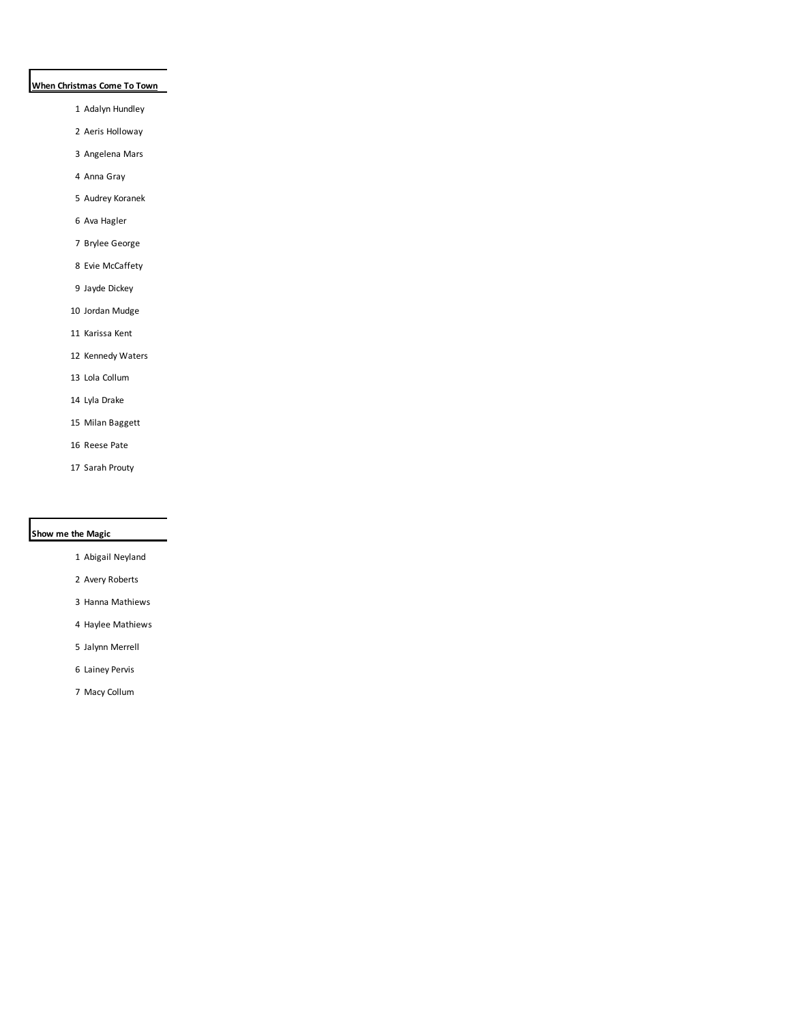# **When Christmas Come To Town**

- Adalyn Hundley
- Aeris Holloway
- Angelena Mars
- Anna Gray
- Audrey Koranek
- Ava Hagler
- Brylee George
- Evie McCaffety
- Jayde Dickey
- Jordan Mudge
- Karissa Kent
- Kennedy Waters
- Lola Collum
- Lyla Drake
- Milan Baggett
- Reese Pate
- Sarah Prouty

#### **Show me the Magic**

- Abigail Neyland
- Avery Roberts
- Hanna Mathiews
- Haylee Mathiews
- Jalynn Merrell
- Lainey Pervis
- Macy Collum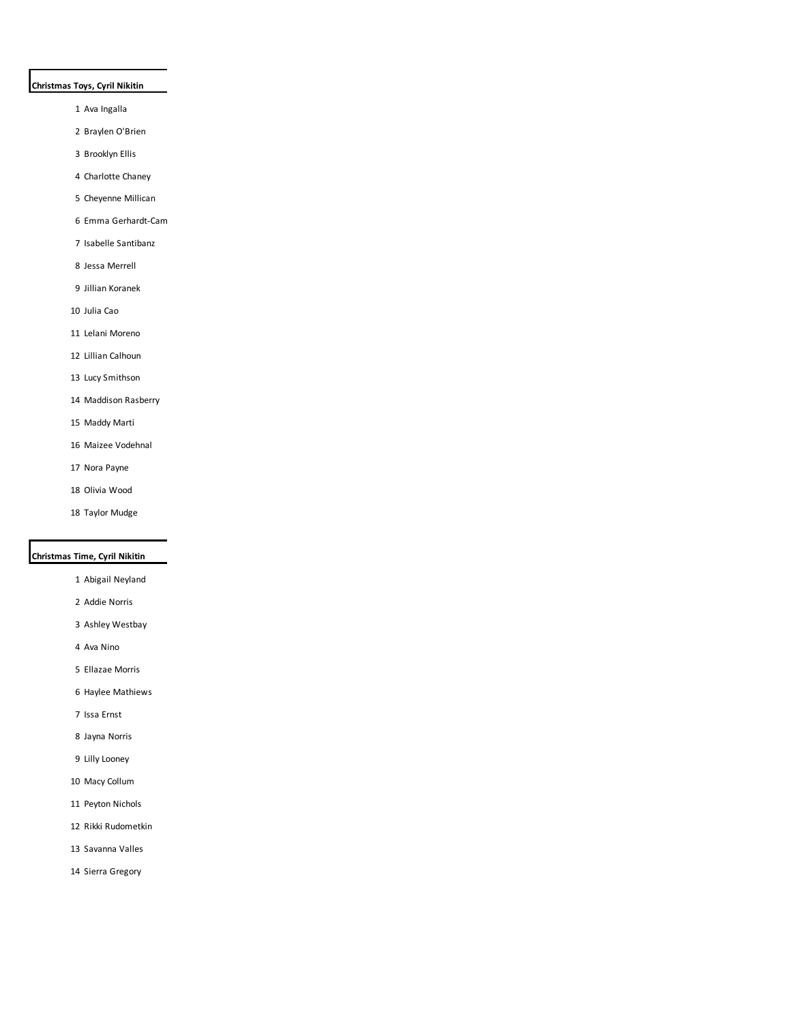## **Christmas Toys, Cyril Nikitin**

- Ava Ingalla
- Braylen O'Brien
- Brooklyn Ellis
- Charlotte Chaney
- Cheyenne Millican
- 6 Emma Gerhardt-Cam
- Isabelle Santibanz
- Jessa Merrell
- Jillian Koranek
- Julia Cao
- Lelani Moreno
- Lillian Calhoun
- Lucy Smithson
- Maddison Rasberry
- Maddy Marti
- Maizee Vodehnal
- Nora Payne
- Olivia Wood
- Taylor Mudge

# **Christmas Time, Cyril Nikitin**

- Abigail Neyland
- Addie Norris
- Ashley Westbay
- Ava Nino
- Ellazae Morris
- Haylee Mathiews
- Issa Ernst
- Jayna Norris
- Lilly Looney
- Macy Collum
- Peyton Nichols
- Rikki Rudometkin
- Savanna Valles
- Sierra Gregory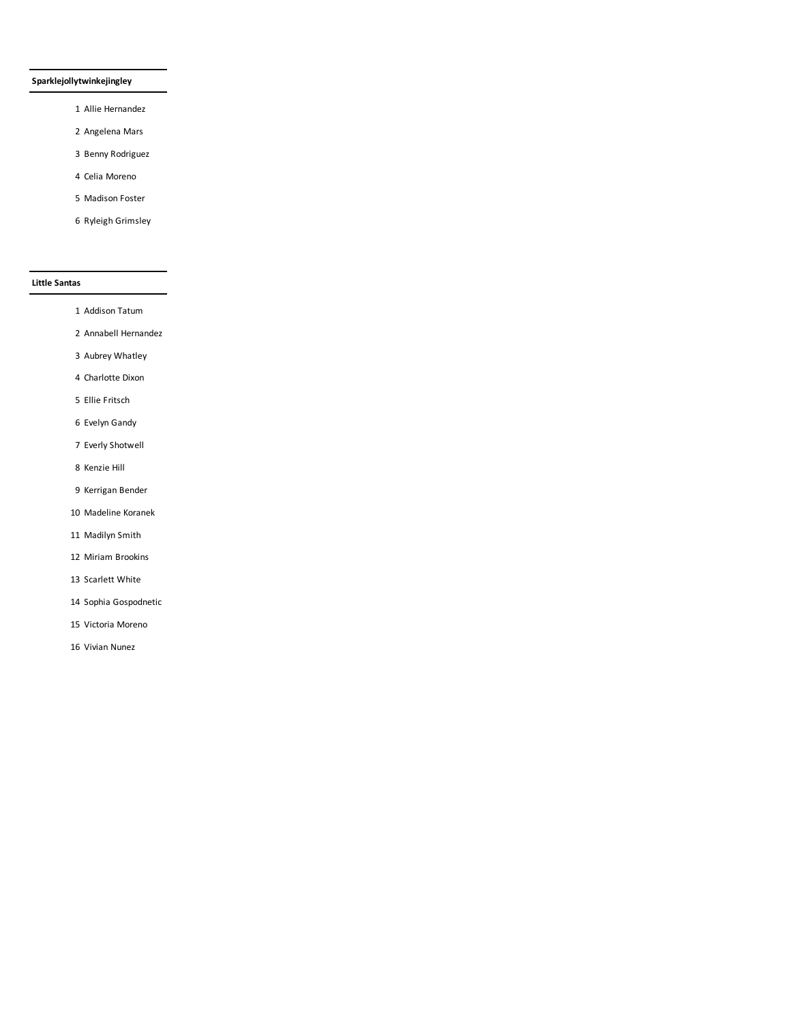## **Sparklejollytwinkejingley**

- Allie Hernandez
- Angelena Mars
- Benny Rodriguez
- Celia Moreno
- Madison Foster
- Ryleigh Grimsley

## **Little Santas**

- Addison Tatum
- Annabell Hernandez
- Aubrey Whatley
- Charlotte Dixon
- Ellie Fritsch
- Evelyn Gandy
- Everly Shotwell
- Kenzie Hill
- Kerrigan Bender
- Madeline Koranek
- Madilyn Smith
- Miriam Brookins
- Scarlett White
- Sophia Gospodnetic
- Victoria Moreno
- Vivian Nunez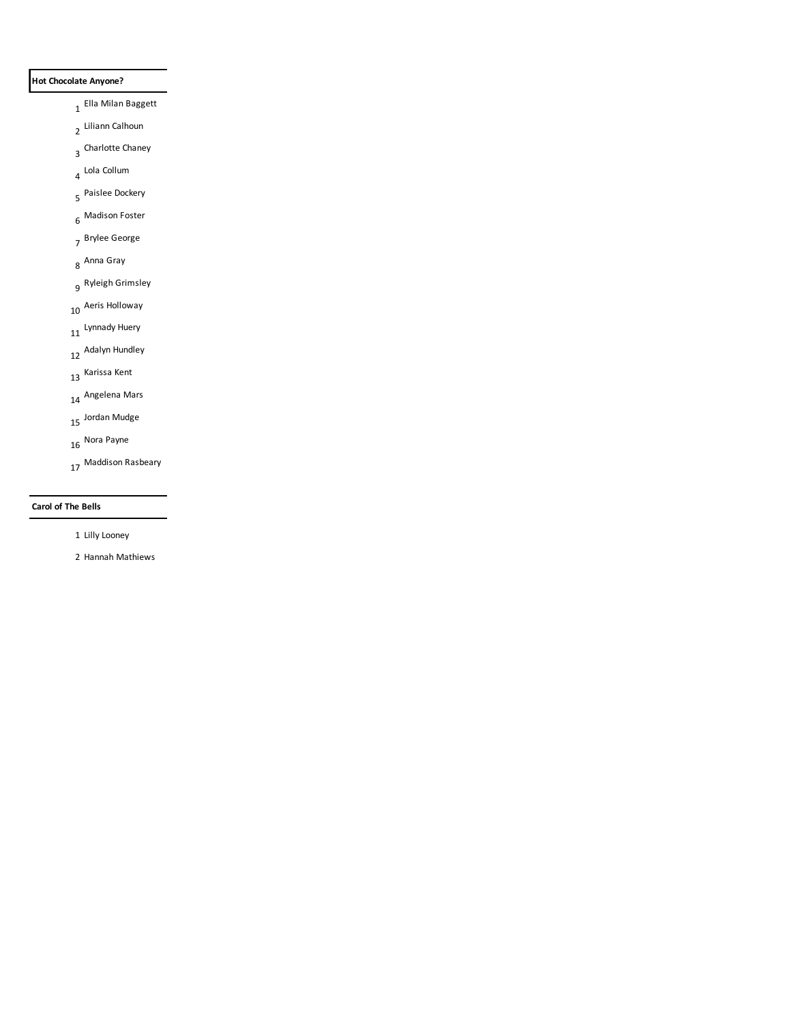## **Hot Chocolate Anyone?**

- Ella Milan Baggett
- Liliann Calhoun
- Charlotte Chaney
- Lola Collum
- Paislee Dockery
- Madison Foster
- Brylee George
- Anna Gray
- Ryleigh Grimsley
- Aeris Holloway
- 11 Lynnady Huery
- Adalyn Hundley
- Karissa Kent
- Angelena Mars
- Jordan Mudge
- Nora Payne
- Maddison Rasbeary

#### **Carol of The Bells**

- Lilly Looney
- Hannah Mathiews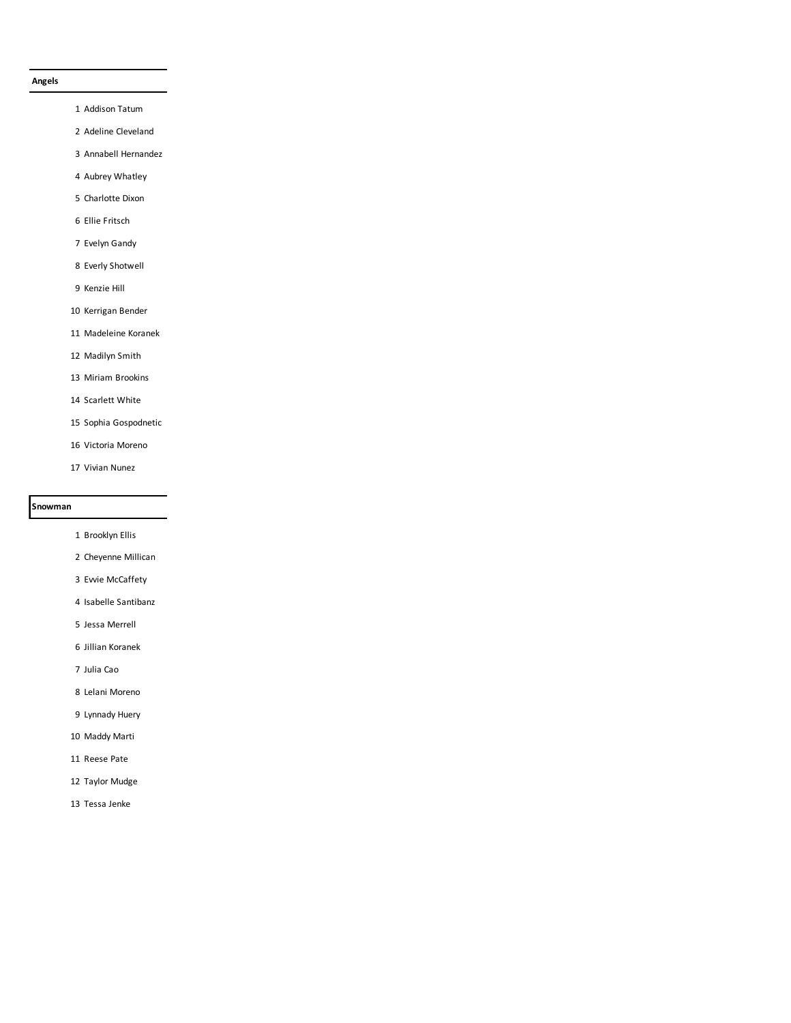#### **Angels**

- Addison Tatum
- Adeline Cleveland
- Annabell Hernandez
- Aubrey Whatley
- Charlotte Dixon
- Ellie Fritsch
- Evelyn Gandy
- Everly Shotwell
- Kenzie Hill
- Kerrigan Bender
- Madeleine Koranek
- Madilyn Smith
- Miriam Brookins
- Scarlett White
- Sophia Gospodnetic
- Victoria Moreno
- Vivian Nunez

#### **Snowman**

- Brooklyn Ellis
- Cheyenne Millican
- Evvie McCaffety
- Isabelle Santibanz
- Jessa Merrell
- Jillian Koranek
- Julia Cao
- Lelani Moreno
- Lynnady Huery
- Maddy Marti
- Reese Pate
- Taylor Mudge
- Tessa Jenke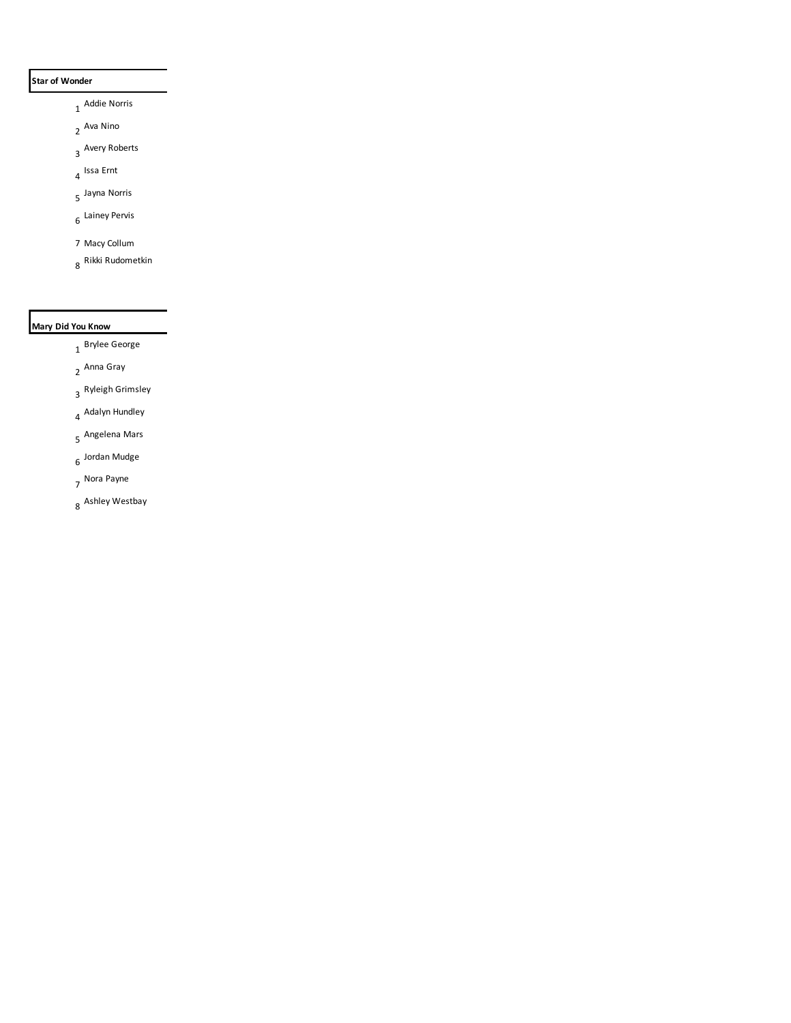## **Star of Wonder**

- Addie Norris
- Ava Nino
- Avery Roberts
- Issa Ernt
- Jayna Norris
- Lainey Pervis
- Macy Collum
- Rikki Rudometkin

# **Mary Did You Know**

- Brylee George
- Anna Gray
- Ryleigh Grimsley
- Adalyn Hundley
- Angelena Mars
- Jordan Mudge
- Nora Payne
- Ashley Westbay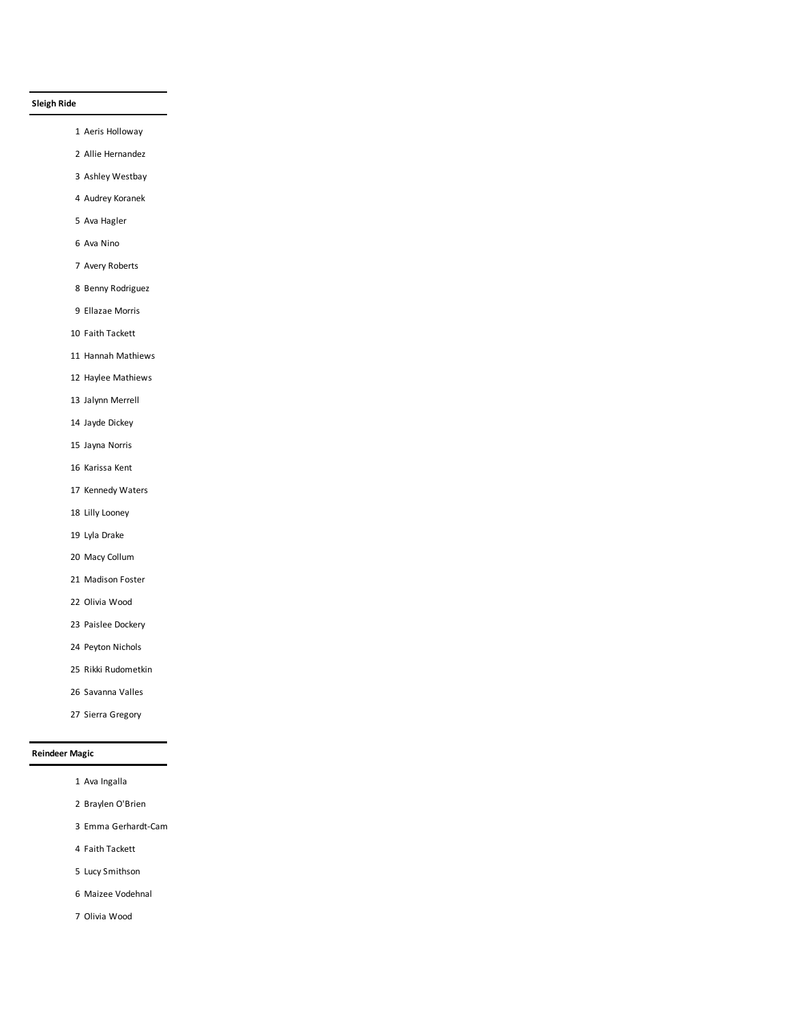## **Sleigh Ride**

- Aeris Holloway
- Allie Hernandez
- Ashley Westbay
- Audrey Koranek
- Ava Hagler
- Ava Nino
- Avery Roberts
- Benny Rodriguez
- Ellazae Morris
- Faith Tackett
- Hannah Mathiews
- Haylee Mathiews
- Jalynn Merrell
- Jayde Dickey
- Jayna Norris
- Karissa Kent
- Kennedy Waters
- Lilly Looney
- Lyla Drake
- Macy Collum
- Madison Foster
- Olivia Wood
- Paislee Dockery
- Peyton Nichols
- Rikki Rudometkin
- Savanna Valles
- Sierra Gregory

## **Reindeer Magic**

- Ava Ingalla
- Braylen O'Brien
- 3 Emma Gerhardt-Cam
- Faith Tackett
- Lucy Smithson
- Maizee Vodehnal
- Olivia Wood